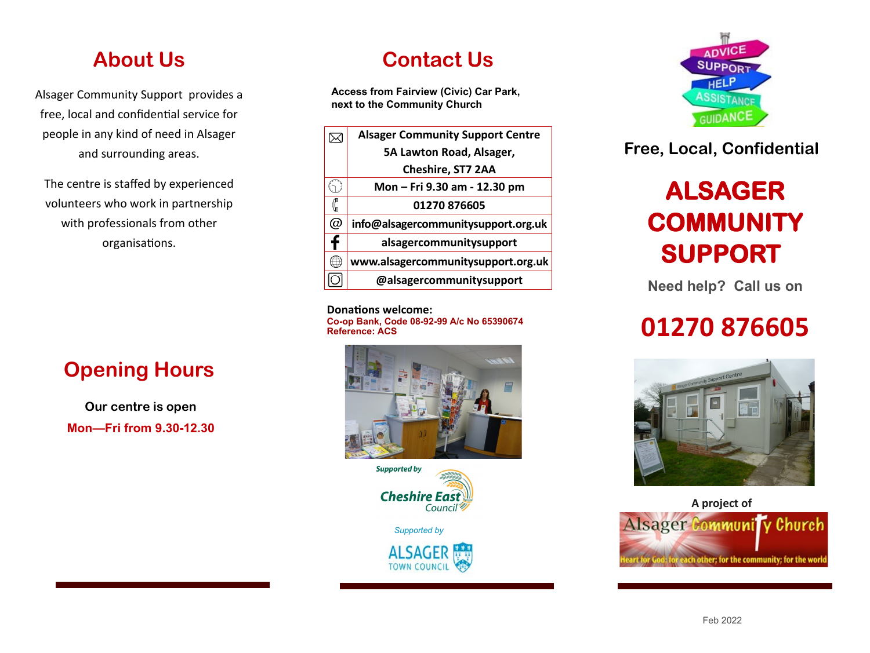### **About Us**

Alsager Community Support provides a free, local and confidential service for people in any kind of need in Alsager and surrounding areas.

The centre is staffed by experienced volunteers who work in partnership with professionals from other organisations.

## **Opening Hours**

**Our centre is open Mon—Fri from 9.30-12.30** 

l

## **Contact Us**

**Access from Fairview (Civic) Car Park, next to the Community Church**



**Donations welcome: Co-op Bank, Code 08-92-99 A/c No 65390674 Reference: ACS**





*Supported by*





### **Free, Local, Confidential**

## **ALSAGER COMMUNITY SUPPORT**

**Need help? Call us on**

## **01270 876605**





l